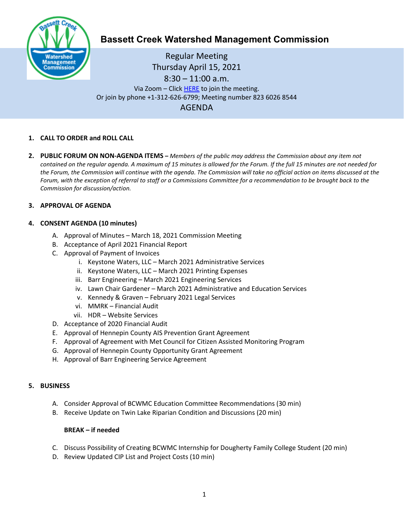

# **Bassett Creek Watershed Management Commission**

Regular Meeting Thursday April 15, 2021 8:30 – 11:00 a.m. Via Zoom – Clic[k HERE](https://us02web.zoom.us/j/82360268544) to join the meeting. Or join by phone +1-312-626-6799; Meeting number 823 6026 8544 AGENDA

## **1. CALL TO ORDER and ROLL CALL**

**2. PUBLIC FORUM ON NON-AGENDA ITEMS –** *Members of the public may address the Commission about any item not contained on the regular agenda. A maximum of 15 minutes is allowed for the Forum. If the full 15 minutes are not needed for the Forum, the Commission will continue with the agenda. The Commission will take no official action on items discussed at the Forum, with the exception of referral to staff or a Commissions Committee for a recommendation to be brought back to the Commission for discussion/action.*

## **3. APPROVAL OF AGENDA**

## **4. CONSENT AGENDA (10 minutes)**

- A. Approval of Minutes March 18, 2021 Commission Meeting
- B. Acceptance of April 2021 Financial Report
- C. Approval of Payment of Invoices
	- i. Keystone Waters, LLC March 2021 Administrative Services
	- ii. Keystone Waters, LLC March 2021 Printing Expenses
	- iii. Barr Engineering March 2021 Engineering Services
	- iv. Lawn Chair Gardener March 2021 Administrative and Education Services
	- v. Kennedy & Graven February 2021 Legal Services
	- vi. MMRK Financial Audit
	- vii. HDR Website Services
- D. Acceptance of 2020 Financial Audit
- E. Approval of Hennepin County AIS Prevention Grant Agreement
- F. Approval of Agreement with Met Council for Citizen Assisted Monitoring Program
- G. Approval of Hennepin County Opportunity Grant Agreement
- H. Approval of Barr Engineering Service Agreement

#### **5. BUSINESS**

- A. Consider Approval of BCWMC Education Committee Recommendations (30 min)
- B. Receive Update on Twin Lake Riparian Condition and Discussions (20 min)

#### **BREAK – if needed**

- C. Discuss Possibility of Creating BCWMC Internship for Dougherty Family College Student (20 min)
- D. Review Updated CIP List and Project Costs (10 min)